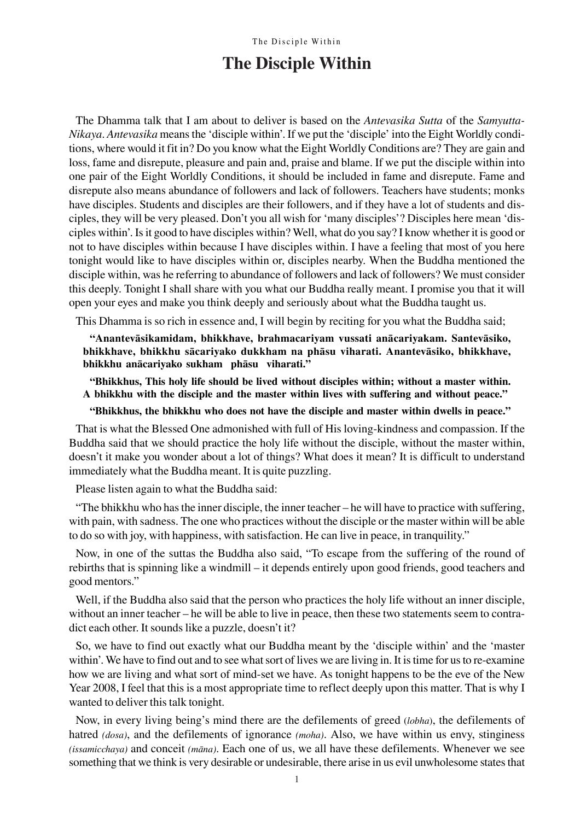# **The Disciple Within**

The Dhamma talk that I am about to deliver is based on the Antevasika Sutta of the Samyutta-Nikaya. Antevasika means the `disciple within'. If we put the `disciple' into the Eight Worldly conditions, where would it fit in? Do you know what the Eight Worldly Conditions are? They are gain and loss, fame and disrepute, pleasure and pain and, praise and blame. If we put the disciple within into one pair of the Eight Worldly Conditions, it should be included in fame and disrepute. Fame and disrepute also means abundance of followers and lack of followers. Teachers have students; monks have disciples. Students and disciples are their followers, and if they have a lot of students and disciples, they will be very pleased. Don't you all wish for `many disciples'? Disciples here mean `disciples within'. Is it good to have disciples within? Well, what do you say? I know whether it is good or not to have disciples within because I have disciples within. I have a feeling that most of you here tonight would like to have disciples within or, disciples nearby. When the Buddha mentioned the disciple within, was he referring to abundance of followers and lack of followers? We must consider this deeply. Tonight I shall share with you what our Buddha really meant. I promise you that it will open your eyes and make you think deeply and seriously about what the Buddha taught us.

This Dhamma is so rich in essence and, I will begin by reciting for you what the Buddha said;

ßAnantevàsikamidam, bhikkhave, brahmacariyam vussati anàcariyakam. Santevàsiko, bhikkhave, bhikkhu sàcariyako dukkham na phàsu viharati. Anantevàsiko, bhikkhave, bhikkhu anācariyako sukham phāsu viharati."

"Bhikkhus, This holy life should be lived without disciples within; without a master within. A bhikkhu with the disciple and the master within lives with suffering and without peace."

"Bhikkhus, the bhikkhu who does not have the disciple and master within dwells in peace."

That is what the Blessed One admonished with full of His loving-kindness and compassion. If the Buddha said that we should practice the holy life without the disciple, without the master within, doesn't it make you wonder about a lot of things? What does it mean? It is difficult to understand immediately what the Buddha meant. It is quite puzzling.

Please listen again to what the Buddha said:

"The bhikkhu who has the inner disciple, the inner teacher – he will have to practice with suffering, with pain, with sadness. The one who practices without the disciple or the master within will be able to do so with joy, with happiness, with satisfaction. He can live in peace, in tranquility."

Now, in one of the suttas the Buddha also said, "To escape from the suffering of the round of rebirths that is spinning like a windmill – it depends entirely upon good friends, good teachers and good mentors."

Well, if the Buddha also said that the person who practices the holy life without an inner disciple, without an inner teacher – he will be able to live in peace, then these two statements seem to contradict each other. It sounds like a puzzle, doesn't it?

So, we have to find out exactly what our Buddha meant by the `disciple within' and the `master within'. We have to find out and to see what sort of lives we are living in. It is time for us to re-examine how we are living and what sort of mind-set we have. As tonight happens to be the eve of the New Year 2008, I feel that this is a most appropriate time to reflect deeply upon this matter. That is why I wanted to deliver this talk tonight.

Now, in every living being's mind there are the defilements of greed (*lobha*), the defilements of hatred (*dosa*), and the defilements of ignorance (*moha*). Also, we have within us envy, stinginess  $(isamicchaya)$  and conceit  $(māna)$ . Each one of us, we all have these defilements. Whenever we see something that we think is very desirable or undesirable, there arise in us evil unwholesome states that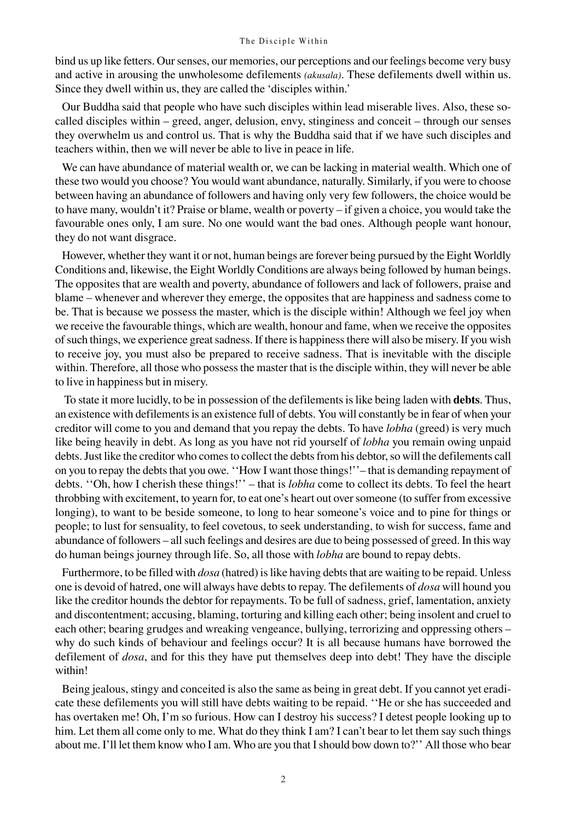bind us up like fetters. Our senses, our memories, our perceptions and our feelings become very busy and active in arousing the unwholesome defilements (akusala). These defilements dwell within us. Since they dwell within us, they are called the `disciples within.'

Our Buddha said that people who have such disciples within lead miserable lives. Also, these socalled disciples within – greed, anger, delusion, envy, stinginess and conceit – through our senses they overwhelm us and control us. That is why the Buddha said that if we have such disciples and teachers within, then we will never be able to live in peace in life.

We can have abundance of material wealth or, we can be lacking in material wealth. Which one of these two would you choose? You would want abundance, naturally. Similarly, if you were to choose between having an abundance of followers and having only very few followers, the choice would be to have many, wouldn't it? Praise or blame, wealth or poverty  $-i$  f given a choice, you would take the favourable ones only, I am sure. No one would want the bad ones. Although people want honour, they do not want disgrace.

However, whether they want it or not, human beings are forever being pursued by the Eight Worldly Conditions and, likewise, the Eight Worldly Conditions are always being followed by human beings. The opposites that are wealth and poverty, abundance of followers and lack of followers, praise and blame – whenever and wherever they emerge, the opposites that are happiness and sadness come to be. That is because we possess the master, which is the disciple within! Although we feel joy when we receive the favourable things, which are wealth, honour and fame, when we receive the opposites of such things, we experience great sadness. If there is happiness there will also be misery. If you wish to receive joy, you must also be prepared to receive sadness. That is inevitable with the disciple within. Therefore, all those who possess the master that is the disciple within, they will never be able to live in happiness but in misery.

 To state it more lucidly, to be in possession of the defilements is like being laden with debts. Thus, an existence with defilements is an existence full of debts. You will constantly be in fear of when your creditor will come to you and demand that you repay the debts. To have lobha (greed) is very much like being heavily in debt. As long as you have not rid yourself of *lobha* you remain owing unpaid debts. Just like the creditor who comes to collect the debts from his debtor, so will the defilements call on you to repay the debts that you owe. "How I want those things!" – that is demanding repayment of debts. "Oh, how I cherish these things!" – that is *lobha* come to collect its debts. To feel the heart throbbing with excitement, to yearn for, to eat one's heart out over someone (to suffer from excessive longing), to want to be beside someone, to long to hear someone's voice and to pine for things or people; to lust for sensuality, to feel covetous, to seek understanding, to wish for success, fame and abundance of followers – all such feelings and desires are due to being possessed of greed. In this way do human beings journey through life. So, all those with *lobha* are bound to repay debts.

Furthermore, to be filled with *dosa* (hatred) is like having debts that are waiting to be repaid. Unless one is devoid of hatred, one will always have debts to repay. The defilements of *dosa* will hound you like the creditor hounds the debtor for repayments. To be full of sadness, grief, lamentation, anxiety and discontentment; accusing, blaming, torturing and killing each other; being insolent and cruel to each other; bearing grudges and wreaking vengeance, bullying, terrorizing and oppressing others – why do such kinds of behaviour and feelings occur? It is all because humans have borrowed the defilement of *dosa*, and for this they have put themselves deep into debt! They have the disciple within!

Being jealous, stingy and conceited is also the same as being in great debt. If you cannot yet eradicate these defilements you will still have debts waiting to be repaid. ``He or she has succeeded and has overtaken me! Oh, I'm so furious. How can I destroy his success? I detest people looking up to him. Let them all come only to me. What do they think I am? I can't bear to let them say such things about me. I'll let them know who I am. Who are you that I should bow down to?'' All those who bear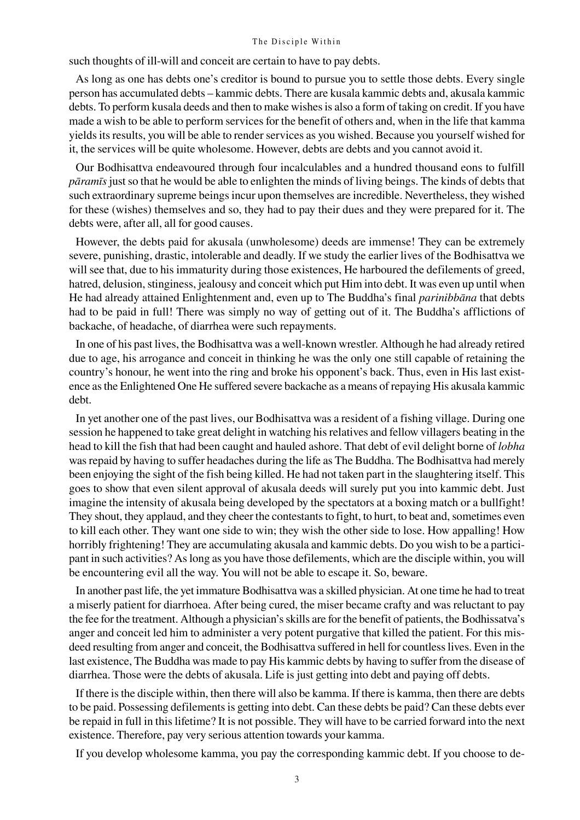such thoughts of ill-will and conceit are certain to have to pay debts.

As long as one has debts one's creditor is bound to pursue you to settle those debts. Every single person has accumulated debts – kammic debts. There are kusala kammic debts and, akusala kammic debts. To perform kusala deeds and then to make wishes is also a form of taking on credit. If you have made a wish to be able to perform services for the benefit of others and, when in the life that kamma yields its results, you will be able to render services as you wished. Because you yourself wished for it, the services will be quite wholesome. However, debts are debts and you cannot avoid it.

Our Bodhisattva endeavoured through four incalculables and a hundred thousand eons to fulfill pàramãs just so that he would be able to enlighten the minds of living beings. The kinds of debts that such extraordinary supreme beings incur upon themselves are incredible. Nevertheless, they wished for these (wishes) themselves and so, they had to pay their dues and they were prepared for it. The debts were, after all, all for good causes.

However, the debts paid for akusala (unwholesome) deeds are immense! They can be extremely severe, punishing, drastic, intolerable and deadly. If we study the earlier lives of the Bodhisattva we will see that, due to his immaturity during those existences, He harboured the defilements of greed, hatred, delusion, stinginess, jealousy and conceit which put Him into debt. It was even up until when He had already attained Enlightenment and, even up to The Buddha's final *parinibbana* that debts had to be paid in full! There was simply no way of getting out of it. The Buddha's afflictions of backache, of headache, of diarrhea were such repayments.

In one of his past lives, the Bodhisattva was a well-known wrestler. Although he had already retired due to age, his arrogance and conceit in thinking he was the only one still capable of retaining the country's honour, he went into the ring and broke his opponent's back. Thus, even in His last existence as the Enlightened One He suffered severe backache as a means of repaying His akusala kammic debt.

In yet another one of the past lives, our Bodhisattva was a resident of a fishing village. During one session he happened to take great delight in watching his relatives and fellow villagers beating in the head to kill the fish that had been caught and hauled ashore. That debt of evil delight borne of lobha was repaid by having to suffer headaches during the life as The Buddha. The Bodhisattva had merely been enjoying the sight of the fish being killed. He had not taken part in the slaughtering itself. This goes to show that even silent approval of akusala deeds will surely put you into kammic debt. Just imagine the intensity of akusala being developed by the spectators at a boxing match or a bullfight! They shout, they applaud, and they cheer the contestants to fight, to hurt, to beat and, sometimes even to kill each other. They want one side to win; they wish the other side to lose. How appalling! How horribly frightening! They are accumulating akusala and kammic debts. Do you wish to be a participant in such activities? As long as you have those defilements, which are the disciple within, you will be encountering evil all the way. You will not be able to escape it. So, beware.

In another past life, the yet immature Bodhisattva was a skilled physician. At one time he had to treat a miserly patient for diarrhoea. After being cured, the miser became crafty and was reluctant to pay the fee for the treatment. Although a physician's skills are for the benefit of patients, the Bodhissatva's anger and conceit led him to administer a very potent purgative that killed the patient. For this misdeed resulting from anger and conceit, the Bodhisattva suffered in hell for countless lives. Even in the last existence, The Buddha was made to pay His kammic debts by having to suffer from the disease of diarrhea. Those were the debts of akusala. Life is just getting into debt and paying off debts.

If there is the disciple within, then there will also be kamma. If there is kamma, then there are debts to be paid. Possessing defilements is getting into debt. Can these debts be paid? Can these debts ever be repaid in full in this lifetime? It is not possible. They will have to be carried forward into the next existence. Therefore, pay very serious attention towards your kamma.

If you develop wholesome kamma, you pay the corresponding kammic debt. If you choose to de-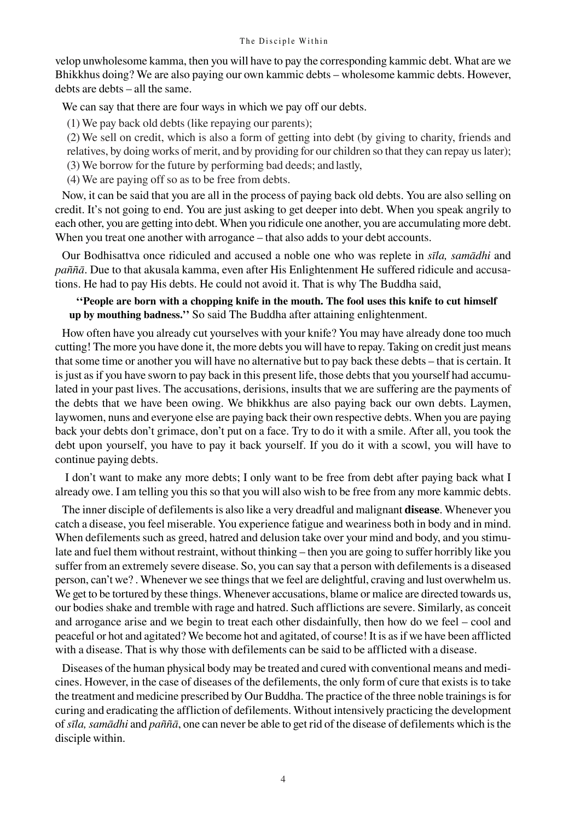velop unwholesome kamma, then you will have to pay the corresponding kammic debt. What are we Bhikkhus doing? We are also paying our own kammic debts – wholesome kammic debts. However, debts are debts – all the same.

We can say that there are four ways in which we pay off our debts.

(1) We pay back old debts (like repaying our parents);

(2) We sell on credit, which is also a form of getting into debt (by giving to charity, friends and relatives, by doing works of merit, and by providing for our children so that they can repay us later);

(3) We borrow for the future by performing bad deeds; and lastly,

(4) We are paying off so as to be free from debts.

Now, it can be said that you are all in the process of paying back old debts. You are also selling on credit. It's not going to end. You are just asking to get deeper into debt. When you speak angrily to each other, you are getting into debt. When you ridicule one another, you are accumulating more debt. When you treat one another with arrogance – that also adds to your debt accounts.

Our Bodhisattva once ridiculed and accused a noble one who was replete in sīla, samādhi and paññā. Due to that akusala kamma, even after His Enlightenment He suffered ridicule and accusations. He had to pay His debts. He could not avoid it. That is why The Buddha said,

# ``People are born with a chopping knife in the mouth. The fool uses this knife to cut himself up by mouthing badness.'' So said The Buddha after attaining enlightenment.

How often have you already cut yourselves with your knife? You may have already done too much cutting! The more you have done it, the more debts you will have to repay. Taking on credit just means that some time or another you will have no alternative but to pay back these debts – that is certain. It is just as if you have sworn to pay back in this present life, those debts that you yourself had accumulated in your past lives. The accusations, derisions, insults that we are suffering are the payments of the debts that we have been owing. We bhikkhus are also paying back our own debts. Laymen, laywomen, nuns and everyone else are paying back their own respective debts. When you are paying back your debts don't grimace, don't put on a face. Try to do it with a smile. After all, you took the debt upon yourself, you have to pay it back yourself. If you do it with a scowl, you will have to continue paying debts.

 I don't want to make any more debts; I only want to be free from debt after paying back what I already owe. I am telling you this so that you will also wish to be free from any more kammic debts.

The inner disciple of defilements is also like a very dreadful and malignant **disease**. Whenever you catch a disease, you feel miserable. You experience fatigue and weariness both in body and in mind. When defilements such as greed, hatred and delusion take over your mind and body, and you stimulate and fuel them without restraint, without thinking – then you are going to suffer horribly like you suffer from an extremely severe disease. So, you can say that a person with defilements is a diseased person, can't we? . Whenever we see things that we feel are delightful, craving and lust overwhelm us. We get to be tortured by these things. Whenever accusations, blame or malice are directed towards us, our bodies shake and tremble with rage and hatred. Such afflictions are severe. Similarly, as conceit and arrogance arise and we begin to treat each other disdainfully, then how do we feel – cool and peaceful or hot and agitated? We become hot and agitated, of course! It is as if we have been afflicted with a disease. That is why those with defilements can be said to be afflicted with a disease.

Diseases of the human physical body may be treated and cured with conventional means and medicines. However, in the case of diseases of the defilements, the only form of cure that exists is to take the treatment and medicine prescribed by Our Buddha. The practice of the three noble trainings is for curing and eradicating the affliction of defilements. Without intensively practicing the development of sīla, samādhi and paññā, one can never be able to get rid of the disease of defilements which is the disciple within.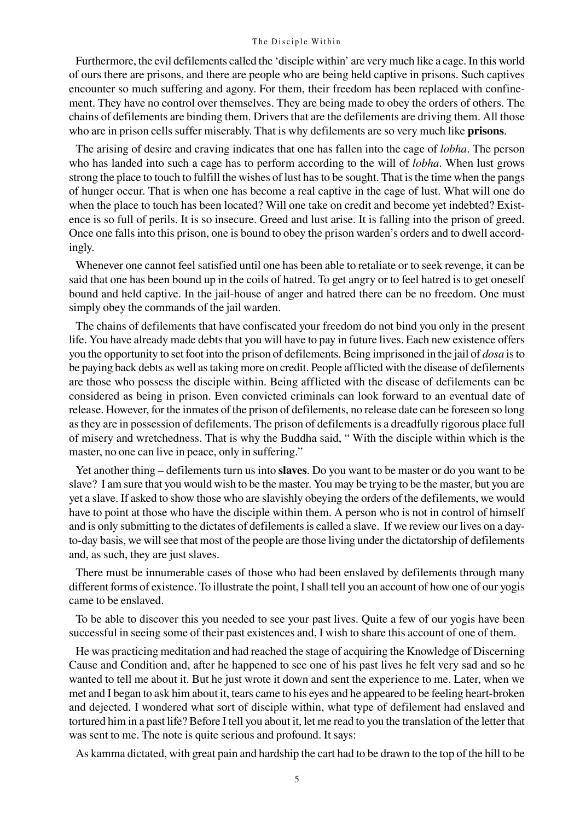Furthermore, the evil defilements called the `disciple within' are very much like a cage. In this world of ours there are prisons, and there are people who are being held captive in prisons. Such captives encounter so much suffering and agony. For them, their freedom has been replaced with confinement. They have no control over themselves. They are being made to obey the orders of others. The chains of defilements are binding them. Drivers that are the defilements are driving them. All those who are in prison cells suffer miserably. That is why defilements are so very much like **prisons**.

The arising of desire and craving indicates that one has fallen into the cage of *lobha*. The person who has landed into such a cage has to perform according to the will of *lobha*. When lust grows strong the place to touch to fulfill the wishes of lust has to be sought. That is the time when the pangs of hunger occur. That is when one has become a real captive in the cage of lust. What will one do when the place to touch has been located? Will one take on credit and become yet indebted? Existence is so full of perils. It is so insecure. Greed and lust arise. It is falling into the prison of greed. Once one falls into this prison, one is bound to obey the prison warden's orders and to dwell accordingly.

Whenever one cannot feel satisfied until one has been able to retaliate or to seek revenge, it can be said that one has been bound up in the coils of hatred. To get angry or to feel hatred is to get oneself bound and held captive. In the jail-house of anger and hatred there can be no freedom. One must simply obey the commands of the jail warden.

The chains of defilements that have confiscated your freedom do not bind you only in the present life. You have already made debts that you will have to pay in future lives. Each new existence offers you the opportunity to set foot into the prison of defilements. Being imprisoned in the jail of *dosa* is to be paying back debts as well as taking more on credit. People afflicted with the disease of defilements are those who possess the disciple within. Being afflicted with the disease of defilements can be considered as being in prison. Even convicted criminals can look forward to an eventual date of release. However, for the inmates of the prison of defilements, no release date can be foreseen so long as they are in possession of defilements. The prison of defilements is a dreadfully rigorous place full of misery and wretchedness. That is why the Buddha said, "With the disciple within which is the master, no one can live in peace, only in suffering."

Yet another thing  $-$  defilements turn us into **slaves**. Do you want to be master or do you want to be slave? I am sure that you would wish to be the master. You may be trying to be the master, but you are yet a slave. If asked to show those who are slavishly obeying the orders of the defilements, we would have to point at those who have the disciple within them. A person who is not in control of himself and is only submitting to the dictates of defilements is called a slave. If we review our lives on a dayto-day basis, we will see that most of the people are those living under the dictatorship of defilements and, as such, they are just slaves.

There must be innumerable cases of those who had been enslaved by defilements through many different forms of existence. To illustrate the point, I shall tell you an account of how one of our yogis came to be enslaved.

To be able to discover this you needed to see your past lives. Quite a few of our yogis have been successful in seeing some of their past existences and, I wish to share this account of one of them.

He was practicing meditation and had reached the stage of acquiring the Knowledge of Discerning Cause and Condition and, after he happened to see one of his past lives he felt very sad and so he wanted to tell me about it. But he just wrote it down and sent the experience to me. Later, when we met and I began to ask him about it, tears came to his eyes and he appeared to be feeling heart-broken and dejected. I wondered what sort of disciple within, what type of defilement had enslaved and tortured him in a past life? Before I tell you about it, let me read to you the translation of the letter that was sent to me. The note is quite serious and profound. It says:

As kamma dictated, with great pain and hardship the cart had to be drawn to the top of the hill to be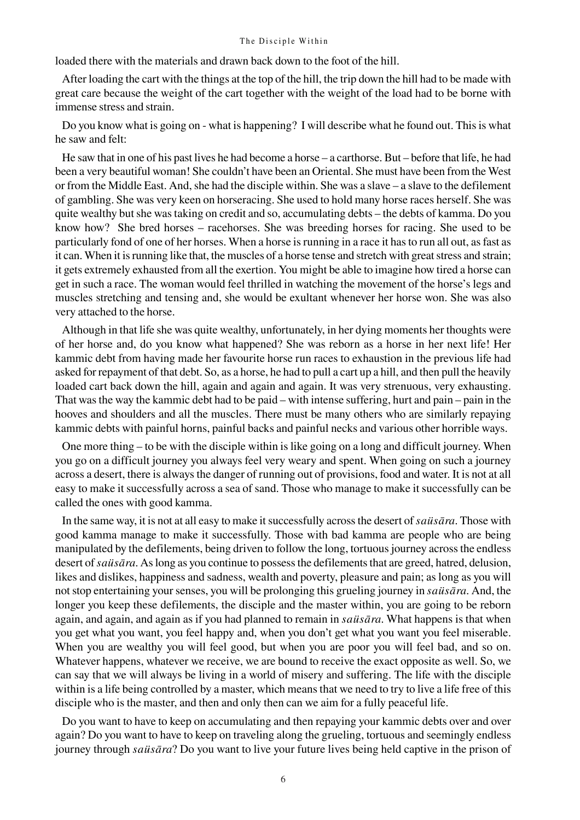loaded there with the materials and drawn back down to the foot of the hill.

After loading the cart with the things at the top of the hill, the trip down the hill had to be made with great care because the weight of the cart together with the weight of the load had to be borne with immense stress and strain.

Do you know what is going on - what is happening? I will describe what he found out. This is what he saw and felt:

He saw that in one of his past lives he had become a horse  $-$  a carthorse. But  $-$  before that life, he had been a very beautiful woman! She couldn't have been an Oriental. She must have been from the West or from the Middle East. And, she had the disciple within. She was a slave – a slave to the defilement of gambling. She was very keen on horseracing. She used to hold many horse races herself. She was quite wealthy but she was taking on credit and so, accumulating debts – the debts of kamma. Do you know how? She bred horses – racehorses. She was breeding horses for racing. She used to be particularly fond of one of her horses. When a horse is running in a race it has to run all out, as fast as it can. When it is running like that, the muscles of a horse tense and stretch with great stress and strain; it gets extremely exhausted from all the exertion. You might be able to imagine how tired a horse can get in such a race. The woman would feel thrilled in watching the movement of the horse's legs and muscles stretching and tensing and, she would be exultant whenever her horse won. She was also very attached to the horse.

Although in that life she was quite wealthy, unfortunately, in her dying moments her thoughts were of her horse and, do you know what happened? She was reborn as a horse in her next life! Her kammic debt from having made her favourite horse run races to exhaustion in the previous life had asked for repayment of that debt. So, as a horse, he had to pull a cart up a hill, and then pull the heavily loaded cart back down the hill, again and again and again. It was very strenuous, very exhausting. That was the way the kammic debt had to be paid – with intense suffering, hurt and pain – pain in the hooves and shoulders and all the muscles. There must be many others who are similarly repaying kammic debts with painful horns, painful backs and painful necks and various other horrible ways.

One more thing – to be with the disciple within is like going on a long and difficult journey. When you go on a difficult journey you always feel very weary and spent. When going on such a journey across a desert, there is always the danger of running out of provisions, food and water. It is not at all easy to make it successfully across a sea of sand. Those who manage to make it successfully can be called the ones with good kamma.

In the same way, it is not at all easy to make it successfully across the desert of *saüsāra*. Those with good kamma manage to make it successfully. Those with bad kamma are people who are being manipulated by the defilements, being driven to follow the long, tortuous journey across the endless desert of *saüsāra*. As long as you continue to possess the defilements that are greed, hatred, delusion, likes and dislikes, happiness and sadness, wealth and poverty, pleasure and pain; as long as you will not stop entertaining your senses, you will be prolonging this grueling journey in saüsàra. And, the longer you keep these defilements, the disciple and the master within, you are going to be reborn again, and again, and again as if you had planned to remain in sausara. What happens is that when you get what you want, you feel happy and, when you don't get what you want you feel miserable. When you are wealthy you will feel good, but when you are poor you will feel bad, and so on. Whatever happens, whatever we receive, we are bound to receive the exact opposite as well. So, we can say that we will always be living in a world of misery and suffering. The life with the disciple within is a life being controlled by a master, which means that we need to try to live a life free of this disciple who is the master, and then and only then can we aim for a fully peaceful life.

Do you want to have to keep on accumulating and then repaying your kammic debts over and over again? Do you want to have to keep on traveling along the grueling, tortuous and seemingly endless journey through saüsāra? Do you want to live your future lives being held captive in the prison of